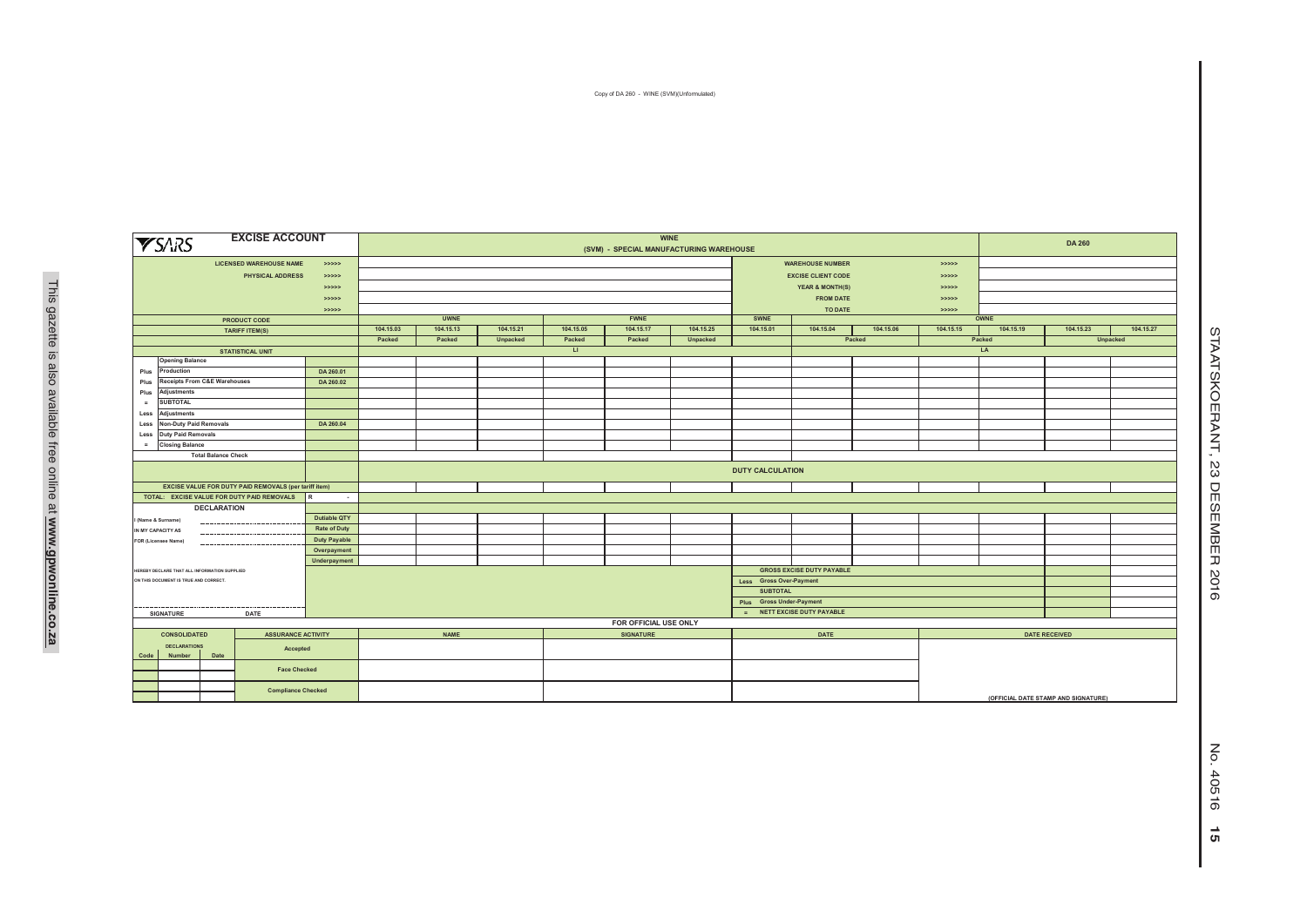Copy of DA 260 - WINE (SVM)(Unformulated)

|      | <b>YSARS</b>                                       |                                              | <b>EXCISE ACCOUNT</b>                                 |                     |                          |                         |           |              | (SVM) - SPECIAL MANUFACTURING WAREHOUSE | <b>WINE</b> |                         |                                  |           | <b>DA 260</b>                       |           |                      |          |  |
|------|----------------------------------------------------|----------------------------------------------|-------------------------------------------------------|---------------------|--------------------------|-------------------------|-----------|--------------|-----------------------------------------|-------------|-------------------------|----------------------------------|-----------|-------------------------------------|-----------|----------------------|----------|--|
|      |                                                    |                                              | <b>LICENSED WAREHOUSE NAME</b>                        | > >> > >            |                          |                         |           |              |                                         |             |                         | <b>WAREHOUSE NUMBER</b>          |           | >                                   |           |                      |          |  |
|      |                                                    |                                              | PHYSICAL ADDRESS                                      | > >> > > >          |                          |                         |           |              |                                         |             |                         | <b>EXCISE CLIENT CODE</b>        |           | > >> >> >                           |           |                      |          |  |
|      |                                                    |                                              |                                                       | >>>>>>              |                          |                         |           |              |                                         |             |                         | <b>YEAR &amp; MONTH(S)</b>       |           | > >> > > >                          |           |                      |          |  |
|      |                                                    |                                              |                                                       | > >> > > >          |                          |                         |           |              |                                         |             |                         | <b>FROM DATE</b>                 |           |                                     |           |                      |          |  |
|      |                                                    |                                              |                                                       | > >> > > >          |                          |                         |           |              |                                         |             |                         | TO DATE                          |           |                                     |           |                      |          |  |
|      | <b>PRODUCT CODE</b>                                |                                              |                                                       |                     |                          | <b>UWNE</b>             |           |              | <b>FWNE</b>                             |             | SWNE                    |                                  |           | <b>OWNE</b>                         |           |                      |          |  |
|      | <b>TARIFF ITEM(S)</b>                              |                                              |                                                       | 104.15.03           | 104.15.13                | 104.15.21               | 104.15.05 | 104.15.17    | 104.15.25                               | 104.15.01   | 104.15.04               | 104.15.06                        | 104.15.15 | 104.15.19                           | 104.15.23 | 104.15.27            |          |  |
|      |                                                    |                                              |                                                       |                     | Packed                   | Packed                  | Unpacked  | Packed       | Packed                                  | Unpacked    |                         |                                  | Packed    |                                     | Packed    |                      | Unpacked |  |
|      |                                                    |                                              | <b>STATISTICAL UNIT</b>                               |                     |                          |                         |           | $\mathbf{L}$ |                                         |             |                         |                                  |           |                                     | LA        |                      |          |  |
|      | <b>Opening Balance</b>                             |                                              |                                                       |                     |                          |                         |           |              |                                         |             |                         |                                  |           |                                     |           |                      |          |  |
| Plus | Production                                         |                                              |                                                       | DA 260.01           |                          |                         |           |              |                                         |             |                         |                                  |           |                                     |           |                      |          |  |
| Plus |                                                    | Receipts From C&E Warehouses                 |                                                       | DA 260.02           |                          |                         |           |              |                                         |             |                         |                                  |           |                                     |           |                      |          |  |
| Plus | Adjustments                                        |                                              |                                                       |                     |                          |                         |           |              |                                         |             |                         |                                  |           |                                     |           |                      |          |  |
| $=$  | <b>SUBTOTAL</b>                                    |                                              |                                                       |                     |                          |                         |           |              |                                         |             |                         |                                  |           |                                     |           |                      |          |  |
| Less | Adjustments                                        |                                              |                                                       |                     |                          |                         |           |              |                                         |             |                         |                                  |           |                                     |           |                      |          |  |
|      | <b>Non-Duty Paid Removals</b><br>DA 260.04<br>Less |                                              |                                                       |                     |                          |                         |           |              |                                         |             |                         |                                  |           |                                     |           |                      |          |  |
|      | <b>Duty Paid Removals</b><br>Less                  |                                              |                                                       |                     |                          |                         |           |              |                                         |             |                         |                                  |           |                                     |           |                      |          |  |
|      | <b>Closing Balance</b><br>$=$                      |                                              |                                                       |                     |                          |                         |           |              |                                         |             |                         |                                  |           |                                     |           |                      |          |  |
|      |                                                    | <b>Total Balance Check</b>                   |                                                       |                     |                          |                         |           |              |                                         |             |                         |                                  |           |                                     |           |                      |          |  |
|      |                                                    |                                              |                                                       |                     |                          | <b>DUTY CALCULATION</b> |           |              |                                         |             |                         |                                  |           |                                     |           |                      |          |  |
|      |                                                    |                                              | EXCISE VALUE FOR DUTY PAID REMOVALS (per tariff item) |                     |                          |                         |           |              |                                         |             |                         |                                  |           |                                     |           |                      |          |  |
|      |                                                    |                                              | TOTAL: EXCISE VALUE FOR DUTY PAID REMOVALS            | l R<br>$\sim$       |                          |                         |           |              |                                         |             |                         |                                  |           |                                     |           |                      |          |  |
|      |                                                    | <b>DECLARATION</b>                           |                                                       |                     |                          |                         |           |              |                                         |             |                         |                                  |           |                                     |           |                      |          |  |
|      | I (Name & Surname)                                 |                                              |                                                       | Dutiable QTY        |                          |                         |           |              |                                         |             |                         |                                  |           |                                     |           |                      |          |  |
|      | IN MY CAPACITY AS                                  | $- - - - -$                                  |                                                       | <b>Rate of Duty</b> |                          |                         |           |              |                                         |             |                         |                                  |           |                                     |           |                      |          |  |
|      | <b>FOR (Licensee Name)</b>                         | .                                            |                                                       | Duty Payable        |                          |                         |           |              |                                         |             |                         |                                  |           |                                     |           |                      |          |  |
|      |                                                    |                                              |                                                       | Overpayment         |                          |                         |           |              |                                         |             |                         |                                  |           |                                     |           |                      |          |  |
|      |                                                    | HEREBY DECLARE THAT ALL INFORMATION SUPPLIED |                                                       | Underpayment        |                          |                         |           |              |                                         |             |                         | <b>GROSS EXCISE DUTY PAYABLE</b> |           |                                     |           |                      |          |  |
|      |                                                    | ON THIS DOCUMENT IS TRUE AND CORRECT.        |                                                       |                     |                          |                         |           |              |                                         |             | Less Gross Over-Payment |                                  |           |                                     |           |                      |          |  |
|      |                                                    |                                              |                                                       |                     |                          |                         |           |              |                                         |             | <b>SUBTOTAL</b>         |                                  |           |                                     |           |                      |          |  |
|      |                                                    |                                              |                                                       |                     | Plus Gross Under-Payment |                         |           |              |                                         |             |                         |                                  |           |                                     |           |                      |          |  |
|      | SIGNATURE                                          |                                              | DATE                                                  |                     |                          |                         |           |              |                                         |             | $\equiv$                | NETT EXCISE DUTY PAYABLE         |           |                                     |           |                      |          |  |
|      |                                                    |                                              |                                                       |                     |                          |                         |           |              | FOR OFFICIAL USE ONLY                   |             |                         |                                  |           |                                     |           |                      |          |  |
|      | <b>CONSOLIDATED</b>                                |                                              | <b>ASSURANCE ACTIVITY</b>                             |                     |                          | <b>NAME</b>             |           |              | <b>SIGNATURE</b>                        |             |                         | DATE                             |           |                                     |           | <b>DATE RECEIVED</b> |          |  |
|      | <b>DECLARATIONS</b>                                |                                              |                                                       |                     |                          |                         |           |              |                                         |             |                         |                                  |           |                                     |           |                      |          |  |
| Code | Number                                             | Date                                         | Accepted                                              |                     |                          |                         |           |              |                                         |             |                         |                                  |           |                                     |           |                      |          |  |
|      |                                                    |                                              |                                                       |                     |                          |                         |           |              |                                         |             |                         |                                  |           |                                     |           |                      |          |  |
|      |                                                    |                                              | <b>Face Checked</b>                                   |                     |                          |                         |           |              |                                         |             |                         |                                  |           |                                     |           |                      |          |  |
|      |                                                    |                                              | <b>Compliance Checked</b>                             |                     |                          |                         |           |              |                                         |             |                         |                                  |           | (OFFICIAL DATE STAMP AND SIGNATURE) |           |                      |          |  |

STAATSKOERANT, 23 DESEMBER 2016

STAATSKOERANT, 23 DESEMBER 2016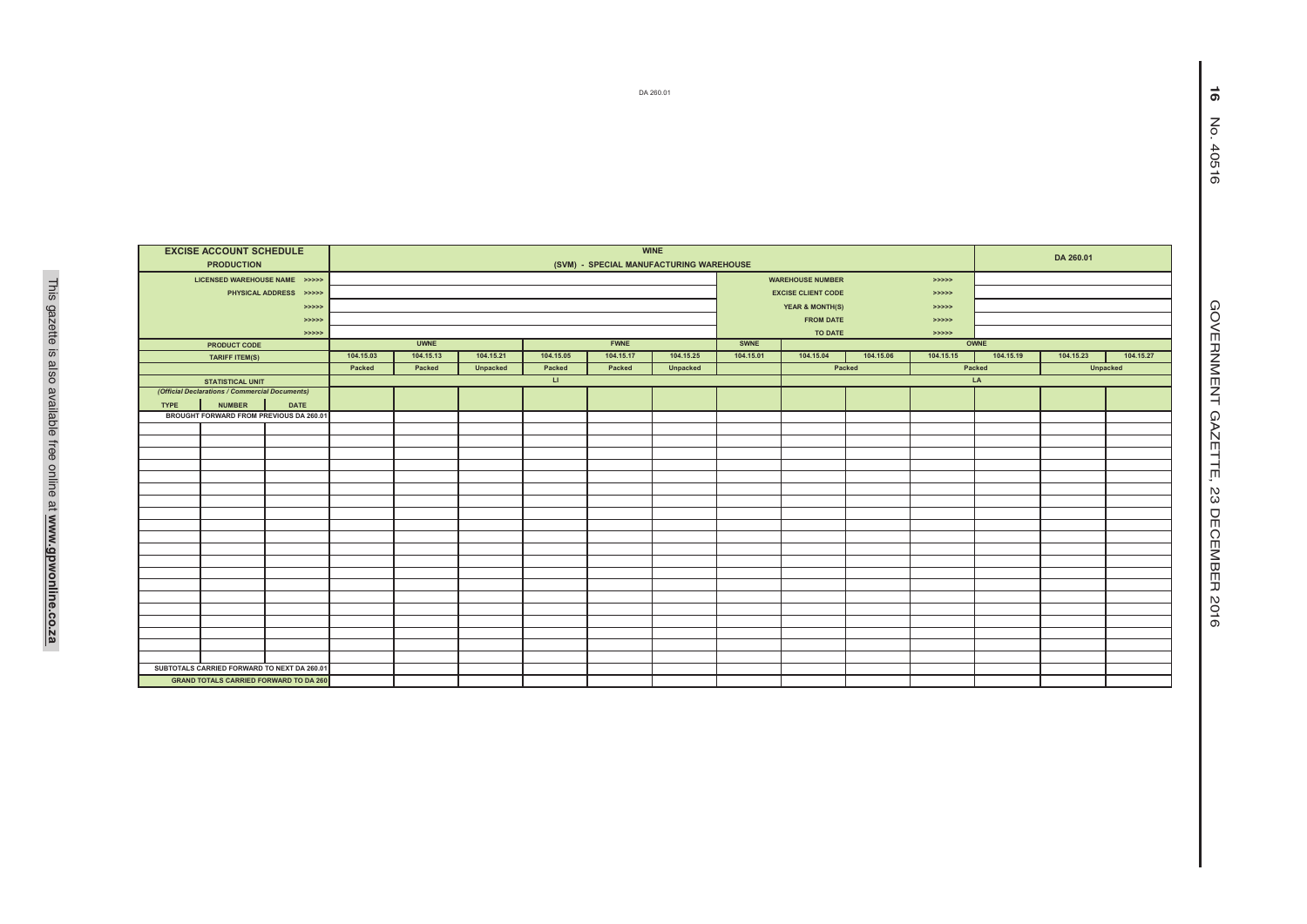|                                               |                                                                           | DA 260.01                                     |           |             |           |                        |             |           |           |                                                      |           |                      |           |           |                 | ၈                 |
|-----------------------------------------------|---------------------------------------------------------------------------|-----------------------------------------------|-----------|-------------|-----------|------------------------|-------------|-----------|-----------|------------------------------------------------------|-----------|----------------------|-----------|-----------|-----------------|-------------------|
|                                               |                                                                           |                                               |           |             |           |                        |             |           |           |                                                      |           |                      |           |           |                 | $\sum_{i=1}^{n}$  |
|                                               |                                                                           |                                               |           |             |           |                        |             |           |           |                                                      |           |                      |           |           |                 |                   |
|                                               |                                                                           |                                               |           |             |           |                        |             |           |           |                                                      |           |                      |           |           |                 | 40516             |
|                                               |                                                                           |                                               |           |             |           |                        |             |           |           |                                                      |           |                      |           |           |                 |                   |
|                                               |                                                                           |                                               |           |             |           |                        |             |           |           |                                                      |           |                      |           |           |                 |                   |
|                                               |                                                                           |                                               |           |             |           |                        |             |           |           |                                                      |           |                      |           |           |                 |                   |
|                                               |                                                                           |                                               |           |             |           |                        |             |           |           |                                                      |           |                      |           |           |                 |                   |
|                                               |                                                                           |                                               |           |             |           |                        |             |           |           |                                                      |           |                      |           |           |                 |                   |
| <b>EXCISE ACCOUNT SCHEDULE</b><br><b>WINE</b> |                                                                           |                                               |           |             |           |                        |             |           |           |                                                      |           |                      |           |           |                 |                   |
|                                               | <b>PRODUCTION</b>                                                         |                                               |           |             |           |                        | DA 260.01   |           |           |                                                      |           |                      |           |           |                 |                   |
|                                               |                                                                           |                                               |           |             |           |                        |             |           |           |                                                      |           |                      |           |           |                 |                   |
|                                               | LICENSED WAREHOUSE NAME >>>>>                                             | PHYSICAL ADDRESS >>>>>                        |           |             |           |                        |             |           |           | <b>WAREHOUSE NUMBER</b><br><b>EXCISE CLIENT CODE</b> |           | > >> > >             |           |           |                 |                   |
|                                               |                                                                           | > >> > >                                      |           |             |           |                        |             |           |           | <b>YEAR &amp; MONTH(S)</b>                           |           | > >> > ><br>> >> > > |           |           |                 |                   |
|                                               |                                                                           | > >> > >                                      |           |             |           |                        |             |           |           | <b>FROM DATE</b>                                     |           | > >> > >             |           |           |                 |                   |
| >>>>>                                         |                                                                           |                                               |           |             |           |                        |             |           |           | TO DATE                                              |           | > >> > >             |           |           |                 | <b>GOVERNMENT</b> |
|                                               | PRODUCT CODE                                                              |                                               |           | <b>UWNE</b> |           |                        | <b>FWNE</b> |           | SWNE      |                                                      |           |                      | OWNE      |           |                 |                   |
|                                               | TARIFF ITEM(S)                                                            |                                               | 104.15.03 | 104.15.13   | 104.15.21 | 104.15.05              | 104.15.17   | 104.15.25 | 104.15.01 | 104.15.04                                            | 104.15.06 | 104.15.15            | 104.15.19 | 104.15.23 | 104.15.27       |                   |
|                                               |                                                                           |                                               | Packed    | Packed      | Unpacked  | Packed                 | Packed      | Unpacked  |           |                                                      | Packed    |                      | Packed    |           | <b>Unpacked</b> |                   |
|                                               | <b>STATISTICAL UNIT</b><br>(Official Declarations / Commercial Documents) |                                               |           |             |           | $\mathbf{L}\mathbf{I}$ |             |           |           |                                                      |           |                      | LA        |           |                 |                   |
| <b>TYPE</b>                                   | <b>NUMBER</b>                                                             | <b>DATE</b>                                   |           |             |           |                        |             |           |           |                                                      |           |                      |           |           |                 |                   |
|                                               | BROUGHT FORWARD FROM PREVIOUS DA 260.01                                   |                                               |           |             |           |                        |             |           |           |                                                      |           |                      |           |           |                 | <b>GAZE</b>       |
|                                               |                                                                           |                                               |           |             |           |                        |             |           |           |                                                      |           |                      |           |           |                 |                   |
|                                               |                                                                           |                                               |           |             |           |                        |             |           |           |                                                      |           |                      |           |           |                 |                   |
|                                               |                                                                           |                                               |           |             |           |                        |             |           |           |                                                      |           |                      |           |           |                 |                   |
|                                               |                                                                           |                                               |           |             |           |                        |             |           |           |                                                      |           |                      |           |           |                 | TTE,              |
|                                               |                                                                           |                                               |           |             |           |                        |             |           |           |                                                      |           |                      |           |           |                 |                   |
|                                               |                                                                           |                                               |           |             |           |                        |             |           |           |                                                      |           |                      |           |           |                 | ΣS                |
|                                               |                                                                           |                                               |           |             |           |                        |             |           |           |                                                      |           |                      |           |           |                 |                   |
|                                               |                                                                           |                                               |           |             |           |                        |             |           |           |                                                      |           |                      |           |           |                 | DECEMBER          |
|                                               |                                                                           |                                               |           |             |           |                        |             |           |           |                                                      |           |                      |           |           |                 |                   |
|                                               |                                                                           |                                               |           |             |           |                        |             |           |           |                                                      |           |                      |           |           |                 |                   |
|                                               |                                                                           |                                               |           |             |           |                        |             |           |           |                                                      |           |                      |           |           |                 |                   |
|                                               |                                                                           |                                               |           |             |           |                        |             |           |           |                                                      |           |                      |           |           |                 |                   |
|                                               |                                                                           |                                               |           |             |           |                        |             |           |           |                                                      |           |                      |           |           |                 | 2016              |
|                                               |                                                                           |                                               |           |             |           |                        |             |           |           |                                                      |           |                      |           |           |                 |                   |
|                                               |                                                                           |                                               |           |             |           |                        |             |           |           |                                                      |           |                      |           |           |                 |                   |
|                                               |                                                                           |                                               |           |             |           |                        |             |           |           |                                                      |           |                      |           |           |                 |                   |
|                                               | SUBTOTALS CARRIED FORWARD TO NEXT DA 260.01                               |                                               |           |             |           |                        |             |           |           |                                                      |           |                      |           |           |                 |                   |
|                                               |                                                                           | <b>GRAND TOTALS CARRIED FORWARD TO DA 260</b> |           |             |           |                        |             |           |           |                                                      |           |                      |           |           |                 |                   |
|                                               |                                                                           |                                               |           |             |           |                        |             |           |           |                                                      |           |                      |           |           |                 |                   |

**16** No. 40516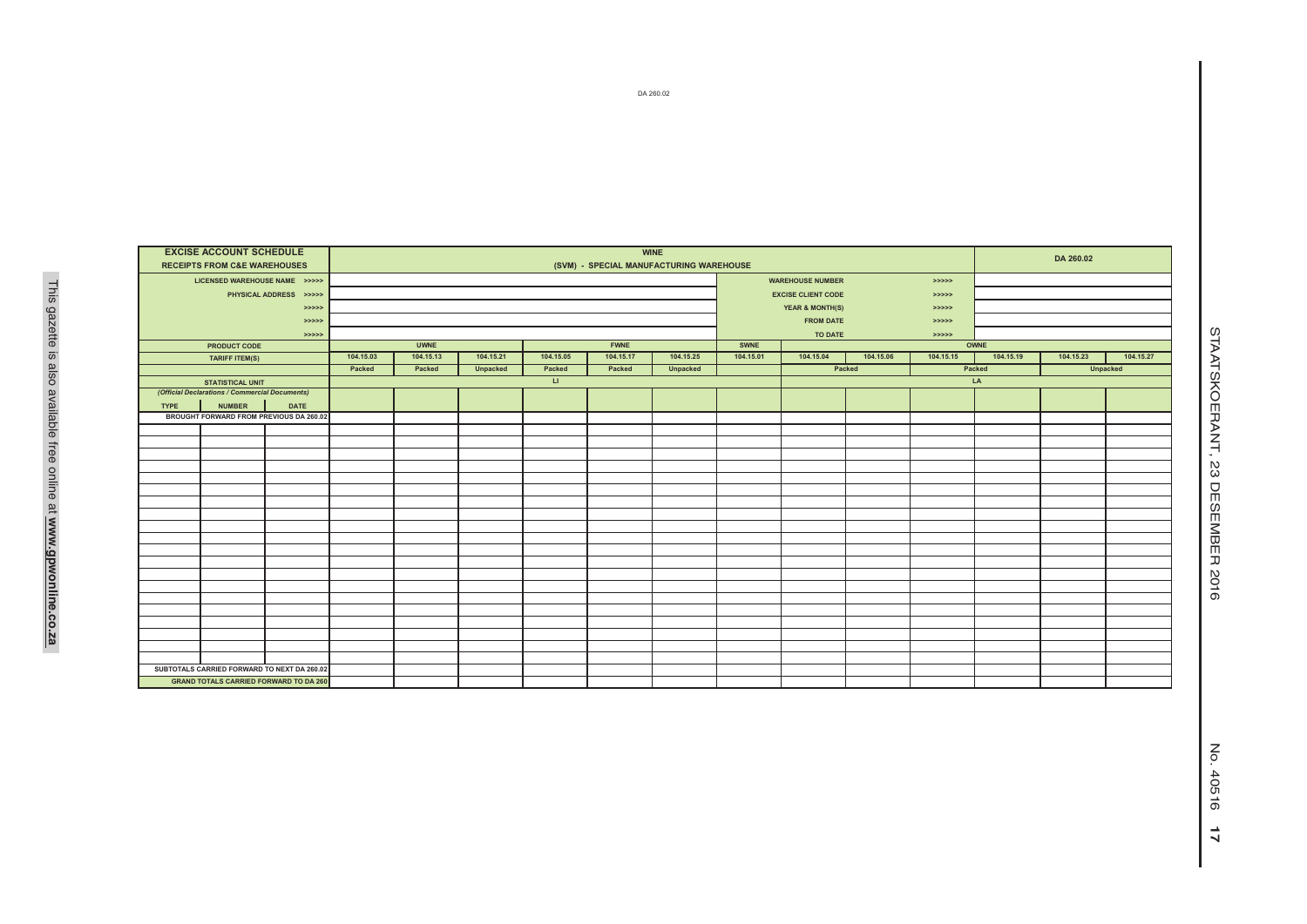| <b>WINE</b> |                                                |                        |           |             |           |              |             |           |             |                            |           |           |                    |           |           |  |
|-------------|------------------------------------------------|------------------------|-----------|-------------|-----------|--------------|-------------|-----------|-------------|----------------------------|-----------|-----------|--------------------|-----------|-----------|--|
|             | <b>EXCISE ACCOUNT SCHEDULE</b>                 |                        |           |             | DA 260.02 |              |             |           |             |                            |           |           |                    |           |           |  |
|             | <b>RECEIPTS FROM C&amp;E WAREHOUSES</b>        |                        |           |             |           |              |             |           |             |                            |           |           |                    |           |           |  |
|             | LICENSED WAREHOUSE NAME >>>>>                  |                        |           |             |           |              |             |           |             | <b>WAREHOUSE NUMBER</b>    |           | > >> > >  |                    |           |           |  |
|             |                                                | PHYSICAL ADDRESS >>>>> |           |             |           |              |             |           |             | <b>EXCISE CLIENT CODE</b>  |           | > >> > >  |                    |           |           |  |
|             |                                                | >>>>>                  |           |             |           |              |             |           |             | <b>YEAR &amp; MONTH(S)</b> |           | > >> > >  |                    |           |           |  |
|             |                                                | >>>>>                  |           |             |           |              |             |           |             | <b>FROM DATE</b>           |           | > >> > >  |                    |           |           |  |
|             |                                                | >>>>>                  |           |             |           |              |             |           |             | TO DATE                    |           | >>>>>     |                    |           |           |  |
|             | PRODUCT CODE                                   |                        |           | <b>UWNE</b> |           |              | <b>FWNE</b> |           | <b>SWNE</b> |                            |           |           | OWNE               |           |           |  |
|             | <b>TARIFF ITEM(S)</b>                          |                        | 104.15.03 | 104.15.13   | 104.15.21 | 104.15.05    | 104.15.17   | 104.15.25 | 104.15.01   | 104.15.04                  | 104.15.06 | 104.15.15 | 104.15.19          | 104.15.23 | 104.15.27 |  |
|             |                                                |                        | Packed    | Packed      | Unpacked  | Packed       | Packed      | Unpacked  |             | Packed                     |           |           | Unpacked<br>Packed |           |           |  |
|             | <b>STATISTICAL UNIT</b>                        |                        |           |             |           | $\mathbf{H}$ |             |           |             |                            |           |           | LA                 |           |           |  |
|             | (Official Declarations / Commercial Documents) |                        |           |             |           |              |             |           |             |                            |           |           |                    |           |           |  |
| <b>TYPE</b> | <b>NUMBER</b>                                  | <b>DATE</b>            |           |             |           |              |             |           |             |                            |           |           |                    |           |           |  |
|             | BROUGHT FORWARD FROM PREVIOUS DA 260.02        |                        |           |             |           |              |             |           |             |                            |           |           |                    |           |           |  |
|             |                                                |                        |           |             |           |              |             |           |             |                            |           |           |                    |           |           |  |
|             |                                                |                        |           |             |           |              |             |           |             |                            |           |           |                    |           |           |  |
|             |                                                |                        |           |             |           |              |             |           |             |                            |           |           |                    |           |           |  |
|             |                                                |                        |           |             |           |              |             |           |             |                            |           |           |                    |           |           |  |
|             |                                                |                        |           |             |           |              |             |           |             |                            |           |           |                    |           |           |  |
|             |                                                |                        |           |             |           |              |             |           |             |                            |           |           |                    |           |           |  |
|             |                                                |                        |           |             |           |              |             |           |             |                            |           |           |                    |           |           |  |
|             |                                                |                        |           |             |           |              |             |           |             |                            |           |           |                    |           |           |  |
|             |                                                |                        |           |             |           |              |             |           |             |                            |           |           |                    |           |           |  |
|             |                                                |                        |           |             |           |              |             |           |             |                            |           |           |                    |           |           |  |
|             |                                                |                        |           |             |           |              |             |           |             |                            |           |           |                    |           |           |  |
|             |                                                |                        |           |             |           |              |             |           |             |                            |           |           |                    |           |           |  |
|             |                                                |                        |           |             |           |              |             |           |             |                            |           |           |                    |           |           |  |
|             |                                                |                        |           |             |           |              |             |           |             |                            |           |           |                    |           |           |  |
|             |                                                |                        |           |             |           |              |             |           |             |                            |           |           |                    |           |           |  |
|             |                                                |                        |           |             |           |              |             |           |             |                            |           |           |                    |           |           |  |
|             |                                                |                        |           |             |           |              |             |           |             |                            |           |           |                    |           |           |  |
|             |                                                |                        |           |             |           |              |             |           |             |                            |           |           |                    |           |           |  |
|             |                                                |                        |           |             |           |              |             |           |             |                            |           |           |                    |           |           |  |
|             | SUBTOTALS CARRIED FORWARD TO NEXT DA 260.02    |                        |           |             |           |              |             |           |             |                            |           |           |                    |           |           |  |
|             | <b>GRAND TOTALS CARRIED FORWARD TO DA 260</b>  |                        |           |             |           |              |             |           |             |                            |           |           |                    |           |           |  |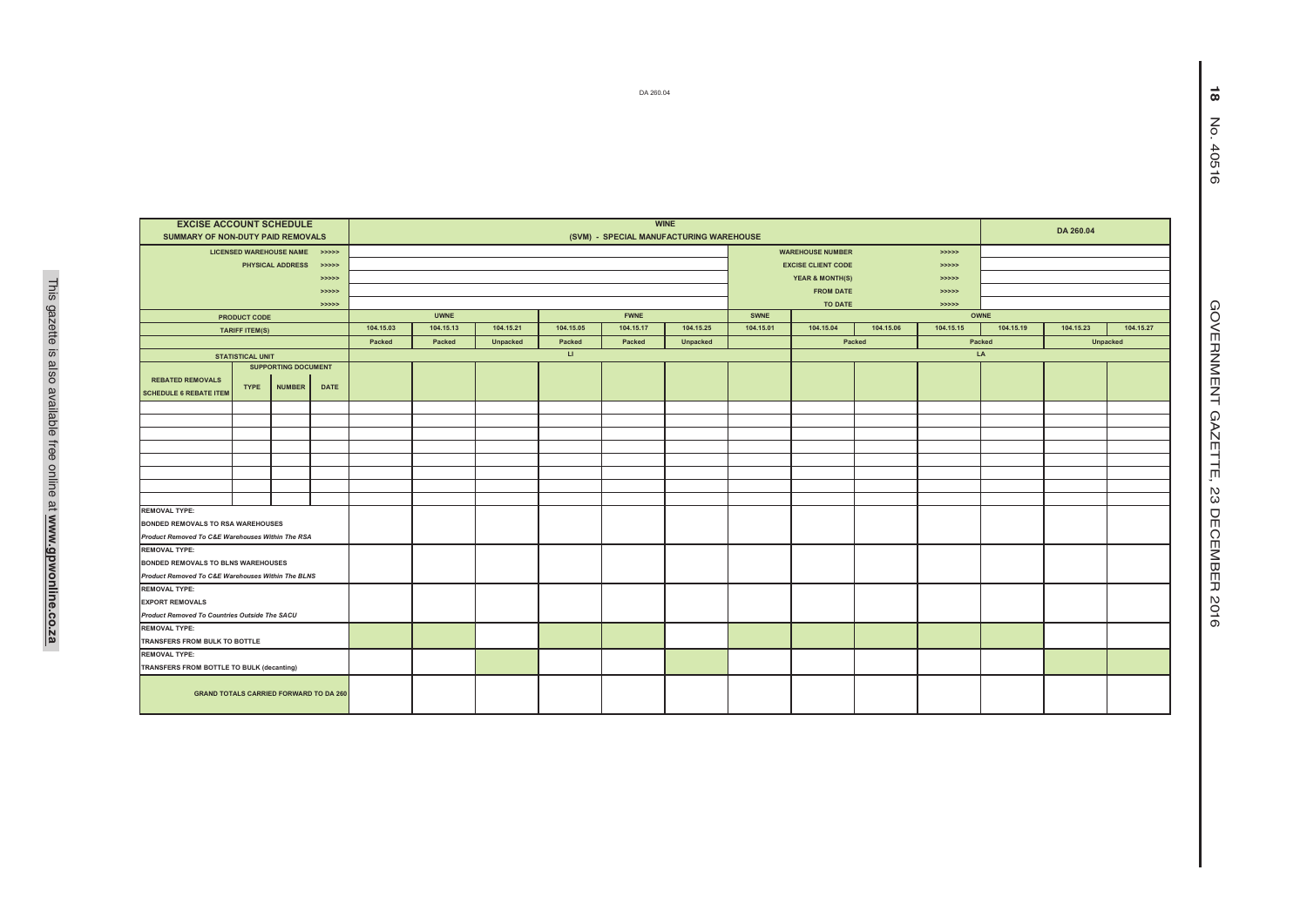| DA 260.04                                                 |                            |                               |                      |           |             |                 |                        |             |                 |           |                                                |           |                   |                    |                   |           | $\infty$         |  |
|-----------------------------------------------------------|----------------------------|-------------------------------|----------------------|-----------|-------------|-----------------|------------------------|-------------|-----------------|-----------|------------------------------------------------|-----------|-------------------|--------------------|-------------------|-----------|------------------|--|
|                                                           |                            |                               |                      |           |             |                 |                        |             |                 |           |                                                |           |                   |                    |                   |           | $\sum_{i=1}^{n}$ |  |
|                                                           |                            |                               |                      |           |             |                 |                        |             |                 |           |                                                |           |                   |                    |                   |           | 40516            |  |
|                                                           |                            |                               |                      |           |             |                 |                        |             |                 |           |                                                |           |                   |                    |                   |           |                  |  |
| <b>EXCISE ACCOUNT SCHEDULE</b>                            |                            |                               |                      |           |             |                 |                        |             |                 |           |                                                |           |                   |                    |                   |           |                  |  |
| SUMMARY OF NON-DUTY PAID REMOVALS                         |                            |                               |                      |           |             |                 |                        |             |                 |           |                                                |           |                   |                    |                   |           |                  |  |
|                                                           |                            | LICENSED WAREHOUSE NAME >>>>> |                      |           |             |                 |                        |             |                 |           | <b>WAREHOUSE NUMBER</b>                        |           | > >> > >          |                    |                   |           |                  |  |
|                                                           |                            | PHYSICAL ADDRESS >>>>>        |                      |           |             |                 |                        |             |                 |           | <b>EXCISE CLIENT CODE</b>                      |           | > >> > >          |                    |                   |           |                  |  |
|                                                           |                            |                               | > >> > ><br>> >> > > |           |             |                 |                        |             |                 |           | <b>YEAR &amp; MONTH(S)</b><br><b>FROM DATE</b> |           | >>>>><br>> >> > > |                    |                   |           |                  |  |
|                                                           |                            |                               | > >> > >             |           |             |                 |                        |             |                 |           | TO DATE                                        |           | > >> > > >        |                    |                   |           |                  |  |
|                                                           | PRODUCT CODE               |                               |                      |           | <b>UWNE</b> |                 |                        | <b>FWNE</b> |                 | SWNE      |                                                |           |                   | OWNE               | <b>GOVERNMENT</b> |           |                  |  |
|                                                           | <b>TARIFF ITEM(S)</b>      |                               |                      | 104.15.03 | 104.15.13   | 104.15.21       | 104.15.05              | 104.15.17   | 104.15.25       | 104.15.01 | 104.15.04                                      | 104.15.06 | 104.15.15         | 104.15.19          | 104.15.23         | 104.15.27 |                  |  |
|                                                           |                            |                               |                      | Packed    | Packed      | <b>Unpacked</b> | Packed                 | Packed      | <b>Unpacked</b> |           |                                                | Packed    |                   | Packed<br>Unpacked |                   |           |                  |  |
|                                                           | <b>STATISTICAL UNIT</b>    |                               |                      |           |             |                 | $\mathsf{L}\mathsf{L}$ |             |                 |           |                                                |           |                   | LA                 |                   |           |                  |  |
|                                                           | <b>SUPPORTING DOCUMENT</b> |                               |                      |           |             |                 |                        |             |                 |           |                                                |           |                   |                    |                   |           |                  |  |
| <b>REBATED REMOVALS</b><br><b>SCHEDULE 6 REBATE ITEM</b>  | <b>TYPE</b>                | <b>NUMBER</b>                 | <b>DATE</b>          |           |             |                 |                        |             |                 |           |                                                |           |                   |                    |                   |           |                  |  |
|                                                           |                            |                               |                      |           |             |                 |                        |             |                 |           |                                                |           |                   |                    |                   |           |                  |  |
|                                                           |                            |                               |                      |           |             |                 |                        |             |                 |           |                                                |           |                   |                    |                   |           |                  |  |
|                                                           |                            |                               |                      |           |             |                 |                        |             |                 |           |                                                |           |                   |                    |                   |           |                  |  |
|                                                           |                            |                               |                      |           |             |                 |                        |             |                 |           |                                                |           |                   |                    |                   |           | <b>GAZE</b>      |  |
|                                                           |                            |                               |                      |           |             |                 |                        |             |                 |           |                                                |           |                   |                    |                   |           | 山                |  |
|                                                           |                            |                               |                      |           |             |                 |                        |             |                 |           |                                                |           |                   |                    |                   |           |                  |  |
|                                                           |                            |                               |                      |           |             |                 |                        |             |                 |           |                                                |           |                   |                    |                   |           | ΩŠ               |  |
|                                                           |                            |                               |                      |           |             |                 |                        |             |                 |           |                                                |           |                   |                    |                   |           |                  |  |
| <b>REMOVAL TYPE:</b><br>BONDED REMOVALS TO RSA WAREHOUSES |                            |                               |                      |           |             |                 |                        |             |                 |           |                                                |           |                   |                    |                   |           |                  |  |
| Product Removed To C&E Warehouses Within The RSA          |                            |                               |                      |           |             |                 |                        |             |                 |           |                                                |           |                   |                    |                   |           |                  |  |
| <b>REMOVAL TYPE:</b>                                      |                            |                               |                      |           |             |                 |                        |             |                 |           |                                                |           |                   |                    |                   |           | <b>DECEMBER</b>  |  |
| BONDED REMOVALS TO BLNS WAREHOUSES                        |                            |                               |                      |           |             |                 |                        |             |                 |           |                                                |           |                   |                    |                   |           |                  |  |
| Product Removed To C&E Warehouses Within The BLNS         |                            |                               |                      |           |             |                 |                        |             |                 |           |                                                |           |                   |                    |                   |           |                  |  |
| <b>REMOVAL TYPE:</b>                                      |                            |                               |                      |           |             |                 |                        |             |                 |           |                                                |           |                   |                    |                   |           |                  |  |
| <b>EXPORT REMOVALS</b>                                    |                            |                               |                      |           |             |                 |                        |             |                 |           |                                                |           |                   |                    |                   |           |                  |  |
| Product Removed To Countries Outside The SACU             |                            |                               |                      |           |             |                 |                        |             |                 |           |                                                |           |                   |                    |                   |           | 2016             |  |
| <b>REMOVAL TYPE:</b><br>TRANSFERS FROM BULK TO BOTTLE     |                            |                               |                      |           |             |                 |                        |             |                 |           |                                                |           |                   |                    |                   |           |                  |  |
| <b>REMOVAL TYPE:</b>                                      |                            |                               |                      |           |             |                 |                        |             |                 |           |                                                |           |                   |                    |                   |           |                  |  |
| TRANSFERS FROM BOTTLE TO BULK (decanting)                 |                            |                               |                      |           |             |                 |                        |             |                 |           |                                                |           |                   |                    |                   |           |                  |  |
| <b>GRAND TOTALS CARRIED FORWARD TO DA 260</b>             |                            |                               |                      |           |             |                 |                        |             |                 |           |                                                |           |                   |                    |                   |           |                  |  |